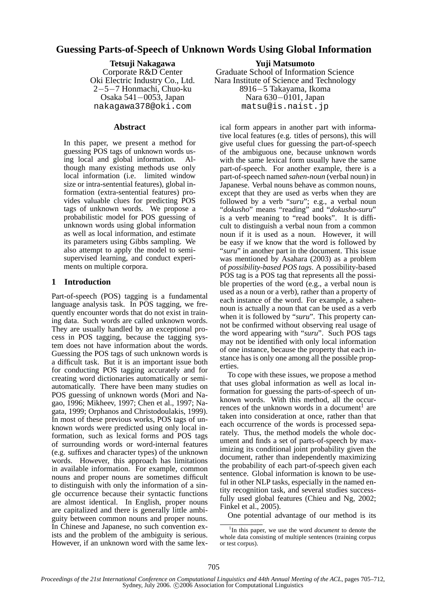# **Guessing Parts-of-Speech of Unknown Words Using Global Information**

**Tetsuji Nakagawa** Corporate R&D Center Oki Electric Industry Co., Ltd. 2−5−7 Honmachi, Chuo-ku Osaka 541−0053, Japan nakagawa378@oki.com

### **Abstract**

In this paper, we present a method for guessing POS tags of unknown words using local and global information. Although many existing methods use only local information (i.e. limited window size or intra-sentential features), global information (extra-sentential features) provides valuable clues for predicting POS tags of unknown words. We propose a probabilistic model for POS guessing of unknown words using global information as well as local information, and estimate its parameters using Gibbs sampling. We also attempt to apply the model to semisupervised learning, and conduct experiments on multiple corpora.

# **1 Introduction**

Part-of-speech (POS) tagging is a fundamental language analysis task. In POS tagging, we frequently encounter words that do not exist in training data. Such words are called unknown words. They are usually handled by an exceptional process in POS tagging, because the tagging system does not have information about the words. Guessing the POS tags of such unknown words is a difficult task. But it is an important issue both for conducting POS tagging accurately and for creating word dictionaries automatically or semiautomatically. There have been many studies on POS guessing of unknown words (Mori and Nagao, 1996; Mikheev, 1997; Chen et al., 1997; Nagata, 1999; Orphanos and Christodoulakis, 1999). In most of these previous works, POS tags of unknown words were predicted using only local information, such as lexical forms and POS tags of surrounding words or word-internal features (e.g. suffixes and character types) of the unknown words. However, this approach has limitations in available information. For example, common nouns and proper nouns are sometimes difficult to distinguish with only the information of a single occurrence because their syntactic functions are almost identical. In English, proper nouns are capitalized and there is generally little ambiguity between common nouns and proper nouns. In Chinese and Japanese, no such convention exists and the problem of the ambiguity is serious. However, if an unknown word with the same lex-

**Yuji Matsumoto** Graduate School of Information Science Nara Institute of Science and Technology 8916−5 Takayama, Ikoma Nara 630–0101, Japan matsu@is.naist.jp

ical form appears in another part with informative local features (e.g. titles of persons), this will give useful clues for guessing the part-of-speech of the ambiguous one, because unknown words with the same lexical form usually have the same part-of-speech. For another example, there is a part-of-speech named *sahen-noun* (verbal noun) in Japanese. Verbal nouns behave as common nouns, except that they are used as verbs when they are followed by a verb "*suru*"; e.g., a verbal noun "*dokusho*" means "reading" and "*dokusho-suru*" is a verb meaning to "read books". It is difficult to distinguish a verbal noun from a common noun if it is used as a noun. However, it will be easy if we know that the word is followed by "*suru*" in another part in the document. This issue was mentioned by Asahara (2003) as a problem of *possibility-based POS tags*. A possibility-based POS tag is a POS tag that represents all the possible properties of the word (e.g., a verbal noun is used as a noun or a verb), rather than a property of each instance of the word. For example, a sahennoun is actually a noun that can be used as a verb when it is followed by "*suru*". This property cannot be confirmed without observing real usage of the word appearing with "*suru*". Such POS tags may not be identified with only local information of one instance, because the property that each instance has is only one among all the possible properties.

To cope with these issues, we propose a method that uses global information as well as local information for guessing the parts-of-speech of unknown words. With this method, all the occurrences of the unknown words in a document<sup>1</sup> are taken into consideration at once, rather than that each occurrence of the words is processed separately. Thus, the method models the whole document and finds a set of parts-of-speech by maximizing its conditional joint probability given the document, rather than independently maximizing the probability of each part-of-speech given each sentence. Global information is known to be useful in other NLP tasks, especially in the named entity recognition task, and several studies successfully used global features (Chieu and Ng, 2002; Finkel et al., 2005).

One potential advantage of our method is its

<sup>&</sup>lt;sup>1</sup>In this paper, we use the word *document* to denote the whole data consisting of multiple sentences (training corpus or test corpus).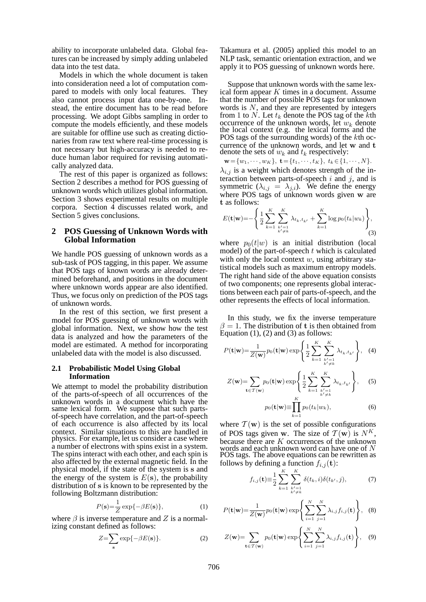ability to incorporate unlabeled data. Global features can be increased by simply adding unlabeled data into the test data.

Models in which the whole document is taken into consideration need a lot of computation compared to models with only local features. They also cannot process input data one-by-one. Instead, the entire document has to be read before processing. We adopt Gibbs sampling in order to compute the models efficiently, and these models are suitable for offline use such as creating dictionaries from raw text where real-time processing is not necessary but high-accuracy is needed to reduce human labor required for revising automatically analyzed data.

The rest of this paper is organized as follows: Section 2 describes a method for POS guessing of unknown words which utilizes global information. Section 3 shows experimental results on multiple corpora. Section 4 discusses related work, and Section 5 gives conclusions.

# **2 POS Guessing of Unknown Words with Global Information**

We handle POS guessing of unknown words as a sub-task of POS tagging, in this paper. We assume that POS tags of known words are already determined beforehand, and positions in the document where unknown words appear are also identified. Thus, we focus only on prediction of the POS tags of unknown words.

In the rest of this section, we first present a model for POS guessing of unknown words with global information. Next, we show how the test data is analyzed and how the parameters of the model are estimated. A method for incorporating unlabeled data with the model is also discussed.

#### **2.1 Probabilistic Model Using Global Information**

We attempt to model the probability distribution of the parts-of-speech of all occurrences of the unknown words in a document which have the same lexical form. We suppose that such partsof-speech have correlation, and the part-of-speech of each occurrence is also affected by its local context. Similar situations to this are handled in physics. For example, let us consider a case where a number of electrons with spins exist in a system. The spins interact with each other, and each spin is also affected by the external magnetic field. In the physical model, if the state of the system is s and the energy of the system is  $E(s)$ , the probability distribution of s is known to be represented by the following Boltzmann distribution:

$$
P(\mathbf{s}) = \frac{1}{Z} \exp\{-\beta E(\mathbf{s})\},\tag{1}
$$

where  $\beta$  is inverse temperature and Z is a normalizing constant defined as follows:

$$
Z = \sum_{s} \exp\{-\beta E(s)\}.
$$
 (2)

Takamura et al. (2005) applied this model to an NLP task, semantic orientation extraction, and we apply it to POS guessing of unknown words here.

Suppose that unknown words with the same lexical form appear  $K$  times in a document. Assume that the number of possible POS tags for unknown words is  $N$ , and they are represented by integers from 1 to  $N$ . Let  $t_k$  denote the POS tag of the kth occurrence of the unknown words, let  $w_k$  denote the local context (e.g. the lexical forms and the POS tags of the surrounding words) of the kth occurrence of the unknown words, and let w and t denote the sets of  $w_k$  and  $t_k$  respectively:

$$
\mathbf{w} = \{w_1, \cdots, w_K\}, \mathbf{t} = \{t_1, \cdots, t_K\}, \ t_k \in \{1, \cdots, N\}.
$$

 $\lambda_{i,j}$  is a weight which denotes strength of the interaction between parts-of-speech  $i$  and  $j$ , and is symmetric  $(\lambda_{i,j} = \lambda_{j,i})$ . We define the energy where POS tags of unknown words given w are t as follows: (  $\ddot{\phantom{1}}$ 

$$
E(\mathbf{t}|\mathbf{w}) = -\left\{\frac{1}{2}\sum_{k=1}^{K}\sum_{\substack{k'=1\\k'\neq k}}^{K}\lambda_{t_k, t_{k'}} + \sum_{k=1}^{K}\log p_0(t_k|w_k)\right\},\tag{3}
$$

where  $p_0(t|w)$  is an initial distribution (local model) of the part-of-speech  $t$  which is calculated with only the local context  $w$ , using arbitrary statistical models such as maximum entropy models. The right hand side of the above equation consists of two components; one represents global interactions between each pair of parts-of-speech, and the other represents the effects of local information.

In this study, we fix the inverse temperature  $\beta = 1$ . The distribution of t is then obtained from  $\ddot{\phantom{1}}$ 

Equation (1), (2) and (3) as follows:  
\n
$$
P(\mathbf{t}|\mathbf{w}) = \frac{1}{Z(\mathbf{w})} p_0(\mathbf{t}|\mathbf{w}) \exp\left\{\frac{1}{2} \sum_{k=1}^{K} \sum_{\substack{k'=1 \ k' \neq k}}^{K} \lambda_{t_k, t_{k'}}\right\}, \quad (4)
$$

$$
Z(\mathbf{w}) = \sum_{\mathbf{t} \in \mathcal{T}(\mathbf{w})} p_0(\mathbf{t}|\mathbf{w}) \exp\left\{\frac{1}{2} \sum_{k=1}^{K} \sum_{\substack{k'=1\\k' \neq k}}^{K} \lambda_{t_k, t_{k'}}\right\},\tag{5}
$$

$$
p_0(\mathbf{t}|\mathbf{w}) \equiv \prod_{k=1} p_0(t_k|w_k), \tag{6}
$$

where  $T(w)$  is the set of possible configurations of POS tags given w. The size of  $\mathcal{T}(\mathbf{w})$  is  $N^K$ , because there are  $K$  occurrences of the unknown words and each unknown word can have one of N POS tags. The above equations can be rewritten as follows by defining a function  $f_{i,j}(\mathbf{t})$ :

$$
f_{i,j}(\mathbf{t}) \equiv \frac{1}{2} \sum_{k=1}^{K} \sum_{\substack{k'=1\\k' \neq k}}^{K} \delta(t_k, i) \delta(t_{k'}, j), \tag{7}
$$

$$
P(\mathbf{t}|\mathbf{w}) = \frac{1}{Z(\mathbf{w})} p_0(\mathbf{t}|\mathbf{w}) \exp\left\{\sum_{i=1}^{N} \sum_{j=1}^{N} \lambda_{i,j} f_{i,j}(\mathbf{t})\right\}, \quad (8)
$$

$$
Z(\mathbf{w}) = \sum_{\mathbf{t} \in \mathcal{T}(\mathbf{w})} p_0(\mathbf{t}|\mathbf{w}) \exp\left\{\sum_{i=1}^N \sum_{j=1}^N \lambda_{i,j} f_{i,j}(\mathbf{t})\right\},\quad(9)
$$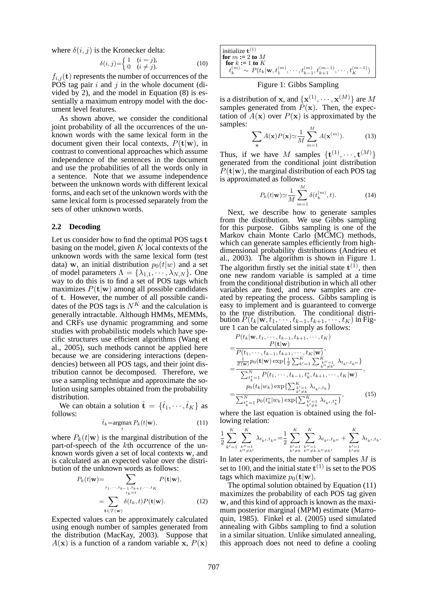where  $\delta(i, j)$  is the Kronecker delta:<br>  $\delta(i, j) = \begin{cases} 1 & (i = j), \\ 0 & (i \neq j). \end{cases}$ 

$$
\delta(i,j) = \begin{cases} 1 & (i=j), \\ 0 & (i \neq j). \end{cases} \tag{10}
$$

 $f_{i,j}(\mathbf{t})$  represents the number of occurrences of the POS tag pair  $i$  and  $j$  in the whole document (divided by 2), and the model in Equation (8) is essentially a maximum entropy model with the document level features.

As shown above, we consider the conditional joint probability of all the occurrences of the unknown words with the same lexical form in the document given their local contexts,  $P(\mathbf{t}|\mathbf{w})$ , in contrast to conventional approaches which assume independence of the sentences in the document and use the probabilities of all the words only in a sentence. Note that we assume independence between the unknown words with different lexical forms, and each set of the unknown words with the same lexical form is processed separately from the sets of other unknown words.

#### **2.2 Decoding**

Let us consider how to find the optimal POS tags t basing on the model, given  $K$  local contexts of the unknown words with the same lexical form (test data) w, an initial distribution  $p_0(t|w)$  and a set of model parameters  $\Lambda = {\lambda_{1,1}, \cdots, \lambda_{N,N}}$ . One way to do this is to find a set of POS tags which maximizes  $P(\mathbf{t}|\mathbf{w})$  among all possible candidates of t. However, the number of all possible candidates of the POS tags is  $N<sup>K</sup>$  and the calculation is generally intractable. Although HMMs, MEMMs, and CRFs use dynamic programming and some studies with probabilistic models which have specific structures use efficient algorithms (Wang et al., 2005), such methods cannot be applied here because we are considering interactions (dependencies) between all POS tags, and their joint distribution cannot be decomposed. Therefore, we use a sampling technique and approximate the solution using samples obtained from the probability distribution.

We can obtain a solution  $\hat{\mathbf{t}} = {\hat{t}_1, \dots, \hat{t}_K}$  as follows:

$$
\hat{t}_k = \underset{t}{\operatorname{argmax}} \ P_k(t|\mathbf{w}), \tag{11}
$$

where  $P_k(t|\mathbf{w})$  is the marginal distribution of the part-of-speech of the kth occurrence of the unknown words given a set of local contexts w, and is calculated as an expected value over the distribution of the unknown words as follows:<br>  $P_k(t|\mathbf{w}) = \sum_{P_k(t|\mathbf{w})} P_k(t|\mathbf{w})$ 

$$
P_k(t|\mathbf{w}) = \sum_{\substack{t_1,\dots,t_{k-1},t_{k+1},\dots,t_K\\t_k=t}} P(\mathbf{t}|\mathbf{w}),
$$
  
= 
$$
\sum_{\mathbf{t}\in\mathcal{T}(\mathbf{w})} \delta(t_k,t) P(\mathbf{t}|\mathbf{w}).
$$
 (12)

Expected values can be approximately calculated using enough number of samples generated from the distribution (MacKay, 2003). Suppose that  $A(\mathbf{x})$  is a function of a random variable x,  $P(\mathbf{x})$ 

| initialize $t^{(1)}$                                                                                         |
|--------------------------------------------------------------------------------------------------------------|
| for $m := 2$ to M                                                                                            |
| for $k := 1$ to $K$                                                                                          |
| $t_k^{(m)} \sim P(t_k   \mathbf{w}, t_1^{(m)}, \cdots, t_{k-1}^{(m)}, t_{k+1}^{(m-1)}, \cdots, t_K^{(m-1)})$ |

### Figure 1: Gibbs Sampling

is a distribution of **x**, and  $\{ \mathbf{x}^{(1)}, \cdots, \mathbf{x}^{(M)} \}$  are M samples generated from  $\tilde{P}(\mathbf{x})$ . Then, the expectation of  $A(x)$  over  $P(x)$  is approximated by the samples:

$$
\sum_{\mathbf{x}} A(\mathbf{x}) P(\mathbf{x}) \simeq \frac{1}{M} \sum_{m=1}^{M} A(\mathbf{x}^{(m)}).
$$
 (13)

Thus, if we have M samples  $\{\mathbf{t}^{(1)}, \cdots, \mathbf{t}^{(M)}\}$ generated from the conditional joint distribution  $P(\mathbf{t}|\mathbf{w})$ , the marginal distribution of each POS tag is approximated as follows:

$$
P_k(t|\mathbf{w}) \simeq \frac{1}{M} \sum_{m=1}^{M} \delta(t_k^{(m)}, t). \tag{14}
$$

Next, we describe how to generate samples from the distribution. We use Gibbs sampling for this purpose. Gibbs sampling is one of the Markov chain Monte Carlo (MCMC) methods, which can generate samples efficiently from highdimensional probability distributions (Andrieu et al., 2003). The algorithm is shown in Figure 1. The algorithm firstly set the initial state  $t^{(1)}$ , then one new random variable is sampled at a time from the conditional distribution in which all other variables are fixed, and new samples are created by repeating the process. Gibbs sampling is easy to implement and is guaranteed to converge to the true distribution. The conditional distribution  $P(t_k|\mathbf{w}, t_1, \cdots, t_{k-1}, t_{k+1}, \cdots, t_K)$  in Figure 1 can be calculated simply as follows:

$$
P(t_k|\mathbf{w}, t_1, \dots, t_{k-1}, t_{k+1}, \dots, t_K)
$$
\n
$$
= \frac{P(\mathbf{t}|\mathbf{w})}{P(t_1, \dots, t_{k-1}, t_{k+1}, \dots, t_K|\mathbf{w})},
$$
\n
$$
= \frac{\frac{1}{Z(\mathbf{w})}p_0(\mathbf{t}|\mathbf{w})\exp\{\frac{1}{2}\sum_{k'=1}^K \sum_{k'' \neq k'}^{K'} \lambda_{t_{k'}, t_{k''}}\}}{\sum_{t_{k'=1}^N}^{N} P(t_1, \dots, t_{k-1}, t_k^*, t_{k+1}, \dots, t_K|\mathbf{w})},
$$
\n
$$
= \frac{p_0(t_k|w_k)\exp\{\sum_{k' \neq k}^{K'} \lambda_{t_{k'}, t_k}\}}{\sum_{t_{k'=1}^N}^{N} p_0(t_k^*|w_k)\exp\{\sum_{k' \neq k}^{K'} \lambda_{t_{k'}, t_k^*}\}},
$$
\n(15)

where the last equation is obtained using the following relation:

$$
\frac{1}{2}\sum_{k'=1}^K\sum_{k''=1 \atop k''\neq k'}^K \lambda_{t_{k'},t_{k''}} = \frac{1}{2}\sum_{k'=1 \atop k'\neq k}^K\sum_{k''=1 \atop k''\neq k,k'''\neq k'}^K \lambda_{t_{k'},t_{k''}} + \sum_{k'=1 \atop k'\neq k}^K \lambda_{t_{k'},t_k}.
$$

In later experiments, the number of samples  $M$  is set to 100, and the initial state  $t^{(1)}$  is set to the POS tags which maximize  $p_0(t|\mathbf{w})$ .

The optimal solution obtained by Equation (11) maximizes the probability of each POS tag given w, and this kind of approach is known as the maximum posterior marginal (MPM) estimate (Marroquin, 1985). Finkel et al. (2005) used simulated annealing with Gibbs sampling to find a solution in a similar situation. Unlike simulated annealing, this approach does not need to define a cooling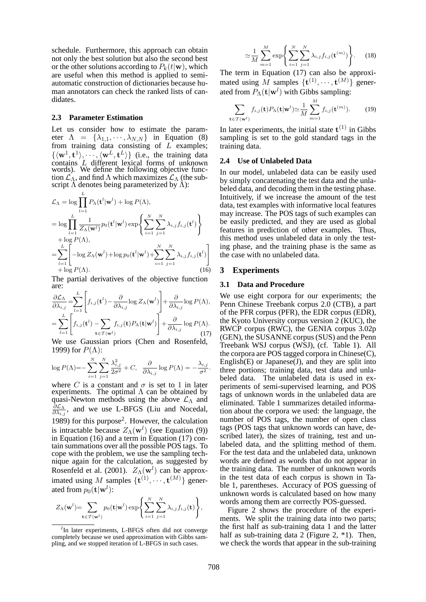schedule. Furthermore, this approach can obtain not only the best solution but also the second best or the other solutions according to  $P_k(t|\mathbf{w})$ , which are useful when this method is applied to semiautomatic construction of dictionaries because human annotators can check the ranked lists of candidates.

#### **2.3 Parameter Estimation**

Let us consider how to estimate the parameter  $\Lambda = {\lambda_{1,1}, \cdots, \lambda_{N,N}}$  in Equation (8) from training data consisting of  $L$  examples;  $\{\langle \mathbf{w}^1, \mathbf{t}^1 \rangle, \cdots, \langle \mathbf{w}^L, \mathbf{t}^L \rangle\}$  (i.e., the training data contains L different lexical forms of unknown words). We define the following objective function  $\mathcal{L}_\Lambda$ , and find  $\Lambda$  which maximizes  $\mathcal{L}_\Lambda$  (the subscript  $\overrightarrow{\Lambda}$  denotes being parameterized by  $\overrightarrow{\Lambda}$ ):

$$
\mathcal{L}_{\Lambda} = \log \prod_{l=1}^{L} P_{\Lambda}(\mathbf{t}^{l}|\mathbf{w}^{l}) + \log P(\Lambda),
$$
\n
$$
= \log \prod_{l=1}^{L} \frac{1}{Z_{\Lambda}(\mathbf{w}^{l})} p_{0}(\mathbf{t}^{l}|\mathbf{w}^{l}) \exp \left\{ \sum_{i=1}^{N} \sum_{j=1}^{N} \lambda_{i,j} f_{i,j}(\mathbf{t}^{l}) \right\}
$$
\n
$$
+ \log P(\Lambda),
$$
\n
$$
= \sum_{l=1}^{L} \left[ -\log Z_{\Lambda}(\mathbf{w}^{l}) + \log p_{0}(\mathbf{t}^{l}|\mathbf{w}^{l}) + \sum_{i=1}^{N} \sum_{j=1}^{N} \lambda_{i,j} f_{i,j}(\mathbf{t}^{l}) \right]
$$
\n
$$
+ \log P(\Lambda).
$$
\n(16)

The partial derivatives of the objective function are: 1

$$
\tilde{\frac{\partial \mathcal{L}_{\Lambda}}{\partial \lambda_{i,j}}} = \sum_{l=1}^{L} \left[ f_{i,j}(\mathbf{t}^{l}) - \frac{\partial}{\partial \lambda_{i,j}} \log Z_{\Lambda}(\mathbf{w}^{l}) \right] + \frac{\partial}{\partial \lambda_{i,j}} \log P(\Lambda),
$$
\n
$$
= \sum_{l=1}^{L} \left[ f_{i,j}(\mathbf{t}^{l}) - \sum_{\mathbf{t} \in \mathcal{T}(\mathbf{w}^{l})} f_{i,j}(\mathbf{t}) P_{\Lambda}(\mathbf{t}|\mathbf{w}^{l}) \right] + \frac{\partial}{\partial \lambda_{i,j}} \log P(\Lambda).
$$
\n(17)

We use Gaussian priors (Chen and Rosenfeld, 1999) for  $P(\Lambda)$ :

$$
\log P(\Lambda) = -\sum_{i=1}^{N} \sum_{j=1}^{N} \frac{\lambda_{i,j}^2}{2\sigma^2} + C, \quad \frac{\partial}{\partial \lambda_{i,j}} \log P(\Lambda) = -\frac{\lambda_{i,j}}{\sigma^2}
$$

where C is a constant and  $\sigma$  is set to 1 in later experiments. The optimal  $\Lambda$  can be obtained by quasi-Newton methods using the above  $\mathcal{L}_{\Lambda}$  and  $\overline{\partial} \mathcal{L}_\Lambda$  $\frac{\partial \mathcal{L}_{A}}{\partial \lambda_{i,j}}$ , and we use L-BFGS (Liu and Nocedal, 1989) for this purpose<sup>2</sup> . However, the calculation is intractable because  $Z_{\Lambda}(\mathbf{w}^l)$  (see Equation (9)) in Equation (16) and a term in Equation (17) contain summations over all the possible POS tags. To cope with the problem, we use the sampling technique again for the calculation, as suggested by Rosenfeld et al. (2001).  $Z_{\Lambda}(\mathbf{w}^l)$  can be approximated using M samples  $\{\mathbf{t}^{(1)}, \cdots, \mathbf{t}^{(M)}\}$  generated from  $p_0(\mathbf{t}|\mathbf{w}^l)$ :

$$
Z_{\Lambda}(\mathbf{w}^{l}) = \sum_{\mathbf{t} \in \mathcal{T}(\mathbf{w}^{l})} p_0(\mathbf{t}|\mathbf{w}^{l}) \exp \left\{ \sum_{i=1}^{N} \sum_{j=1}^{N} \lambda_{i,j} f_{i,j}(\mathbf{t}) \right\},\,
$$

$$
\simeq \frac{1}{M} \sum_{m=1}^{M} \exp\left\{ \sum_{i=1}^{N} \sum_{j=1}^{N} \lambda_{i,j} f_{i,j}(\mathbf{t}^{(m)}) \right\}.
$$
 (18)

The term in Equation (17) can also be approximated using M samples  $\{\mathbf{t}^{(1)}, \cdots, \mathbf{t}^{(M)}\}$  generated from  $P_{\Lambda}(\mathbf{t}|\mathbf{w}^l)$  with Gibbs sampling:

$$
\sum_{\mathbf{t}\in\mathcal{T}(\mathbf{w}^l)} f_{i,j}(\mathbf{t}) P_{\Lambda}(\mathbf{t}|\mathbf{w}^l) \simeq \frac{1}{M} \sum_{m=1}^M f_{i,j}(\mathbf{t}^{(m)}).
$$
 (19)

In later experiments, the initial state  $t^{(1)}$  in Gibbs sampling is set to the gold standard tags in the training data.

### **2.4 Use of Unlabeled Data**

In our model, unlabeled data can be easily used by simply concatenating the test data and the unlabeled data, and decoding them in the testing phase. Intuitively, if we increase the amount of the test data, test examples with informative local features may increase. The POS tags of such examples can be easily predicted, and they are used as global features in prediction of other examples. Thus, this method uses unlabeled data in only the testing phase, and the training phase is the same as the case with no unlabeled data.

#### **3 Experiments**

#### **3.1 Data and Procedure**

We use eight corpora for our experiments; the Penn Chinese Treebank corpus 2.0 (CTB), a part of the PFR corpus (PFR), the EDR corpus (EDR), the Kyoto University corpus version 2 (KUC), the RWCP corpus (RWC), the GENIA corpus 3.02p (GEN), the SUSANNE corpus (SUS) and the Penn Treebank WSJ corpus (WSJ), (cf. Table 1). All the corpora are POS tagged corpora in Chinese(C), English $(E)$  or Japanese $(J)$ , and they are split into three portions; training data, test data and unlabeled data. The unlabeled data is used in experiments of semi-supervised learning, and POS tags of unknown words in the unlabeled data are eliminated. Table 1 summarizes detailed information about the corpora we used: the language, the number of POS tags, the number of open class tags (POS tags that unknown words can have, described later), the sizes of training, test and unlabeled data, and the splitting method of them. For the test data and the unlabeled data, unknown words are defined as words that do not appear in the training data. The number of unknown words in the test data of each corpus is shown in Table 1, parentheses. Accuracy of POS guessing of unknown words is calculated based on how many words among them are correctly POS-guessed.

Figure 2 shows the procedure of the experiments. We split the training data into two parts; the first half as sub-training data 1 and the latter half as sub-training data 2 (Figure 2,  $*1$ ). Then, we check the words that appear in the sub-training

.

<sup>&</sup>lt;sup>2</sup>In later experiments, L-BFGS often did not converge completely because we used approximation with Gibbs sampling, and we stopped iteration of L-BFGS in such cases.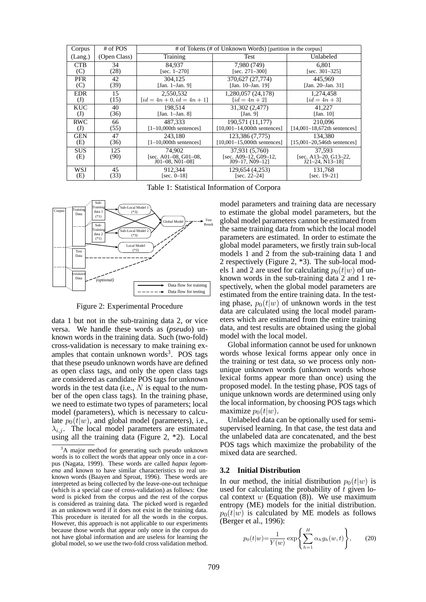| Corpus            | # of POS     | # of Tokens (# of Unknown Words) [partition in the corpus] |                                                              |                                                          |
|-------------------|--------------|------------------------------------------------------------|--------------------------------------------------------------|----------------------------------------------------------|
| (Lang.)           | (Open Class) | Training                                                   | <b>Test</b>                                                  | Unlabeled                                                |
| <b>CTB</b>        | 34           | 84.937                                                     | 7,980 (749)                                                  | 6.801                                                    |
| (C)               | (28)         | [sec. $1-270$ ]                                            | [sec. $271-300$ ]                                            | [sec. $301-325$ ]                                        |
| <b>PFR</b>        | 42           | 304.125                                                    | 370,627 (27,774)                                             | 445,969                                                  |
| (C)               | (39)         | [Jan. 1–Jan. 9]                                            | [Jan. 10-Jan. 19]                                            | [Jan. 20–Jan. 31]                                        |
| <b>EDR</b>        | 15           | 2,550,532                                                  | 1,280,057 (24,178)                                           | 1,274,458                                                |
| $\textcircled{J}$ | (15)         | $\lceil id = 4n + 0, id = 4n + 1 \rceil$                   | $\lceil id = 4n + 2 \rceil$                                  | $\lceil id = 4n + 3 \rceil$                              |
| KUC               | 40           | 198.514                                                    | 31,302 (2,477)                                               | 41,227                                                   |
| $\textcircled{J}$ | (36)         | [Jan. 1–Jan. 8]                                            | [Jan. 9]                                                     | [Jan. $10$ ]                                             |
| <b>RWC</b>        | 66           | 487.333                                                    | 190,571 (11,177)                                             | 210,096                                                  |
| $\mathrm{J}$      | (55)         | $[1-10,000$ th sentences]                                  | $[10,001-14,000$ th sentences]                               | $[14,001-18,672$ th sentences]                           |
| <b>GEN</b>        | 47           | 243.180                                                    | 123,386 (7,775)                                              | 134.380                                                  |
| (E)               | (36)         | $[1-10,000$ th sentences]                                  | $[10,001-15,000$ th sentences]                               | $[15,001-20,546th$ sentences]                            |
| <b>SUS</b><br>(E) | 125<br>(90)  | 74.902<br>[sec. A01-08, G01-08.]<br>$J01-08$ , $N01-08$ ]  | 37,931 (5,760)<br>[sec. A09-12, G09-12,<br>$J09-17. N09-121$ | 37,593<br>[sec. A13-20, G13-22,<br>$J21-24$ , $N13-18$ ] |
| WSJ               | 45           | 912.344                                                    | 129,654 (4,253)                                              | 131.768                                                  |
| (E)               | (33)         | [sec. $0-18$ ]                                             | [sec. $22-24$ ]                                              | [sec. $19-21$ ]                                          |

Table 1: Statistical Information of Corpora



Figure 2: Experimental Procedure

data 1 but not in the sub-training data 2, or vice versa. We handle these words as (*pseudo*) unknown words in the training data. Such (two-fold) cross-validation is necessary to make training examples that contain unknown words<sup>3</sup>. POS tags that these pseudo unknown words have are defined as open class tags, and only the open class tags are considered as candidate POS tags for unknown words in the test data (i.e.,  $N$  is equal to the number of the open class tags). In the training phase, we need to estimate two types of parameters; local model (parameters), which is necessary to calculate  $p_0(\bar{t}|w)$ , and global model (parameters), i.e.,  $\lambda_{i,j}$ . The local model parameters are estimated using all the training data (Figure 2, \*2). Local model parameters and training data are necessary to estimate the global model parameters, but the global model parameters cannot be estimated from the same training data from which the local model parameters are estimated. In order to estimate the global model parameters, we firstly train sub-local models 1 and 2 from the sub-training data 1 and 2 respectively (Figure 2, \*3). The sub-local models 1 and 2 are used for calculating  $p_0(t|w)$  of unknown words in the sub-training data 2 and 1 respectively, when the global model parameters are estimated from the entire training data. In the testing phase,  $p_0(t|w)$  of unknown words in the test data are calculated using the local model parameters which are estimated from the entire training data, and test results are obtained using the global model with the local model.

Global information cannot be used for unknown words whose lexical forms appear only once in the training or test data, so we process only nonunique unknown words (unknown words whose lexical forms appear more than once) using the proposed model. In the testing phase, POS tags of unique unknown words are determined using only the local information, by choosing POS tags which maximize  $p_0(t|w)$ .

Unlabeled data can be optionally used for semisupervised learning. In that case, the test data and the unlabeled data are concatenated, and the best POS tags which maximize the probability of the mixed data are searched.

#### **3.2 Initial Distribution**

In our method, the initial distribution  $p_0(t|w)$  is used for calculating the probability of  $\bar{t}$  given local context w (Equation  $(8)$ ). We use maximum entropy (ME) models for the initial distribution.  $p_0(t|w)$  is calculated by ME models as follows (Berger et al., 1996):

$$
p_0(t|w) = \frac{1}{Y(w)} \exp\left\{\sum_{h=1}^H \alpha_h g_h(w, t)\right\},\qquad(20)
$$

<sup>&</sup>lt;sup>3</sup>A major method for generating such pseudo unknown words is to collect the words that appear only once in a corpus (Nagata, 1999). These words are called *hapax legomena* and known to have similar characteristics to real unknown words (Baayen and Sproat, 1996). These words are interpreted as being collected by the leave-one-out technique (which is a special case of cross-validation) as follows: One word is picked from the corpus and the rest of the corpus is considered as training data. The picked word is regarded as an unknown word if it does not exist in the training data. This procedure is iterated for all the words in the corpus. However, this approach is not applicable to our experiments because those words that appear only once in the corpus do not have global information and are useless for learning the global model, so we use the two-fold cross validation method.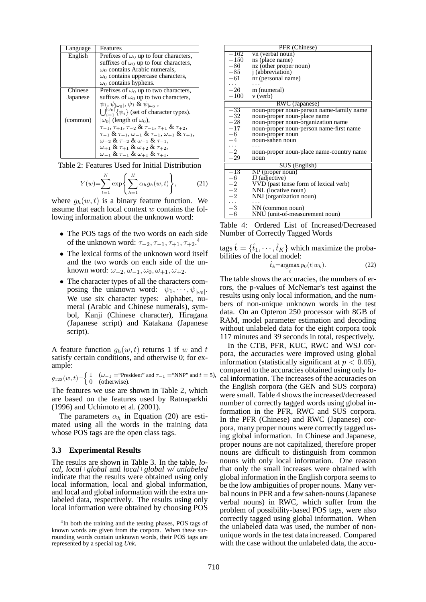| Language | Features                                                                          |
|----------|-----------------------------------------------------------------------------------|
| English  | Prefixes of $\omega_0$ up to four characters,                                     |
|          | suffixes of $\omega_0$ up to four characters,                                     |
|          | $\omega_0$ contains Arabic numerals,                                              |
|          | $\omega_0$ contains uppercase characters,                                         |
|          | $\omega_0$ contains hyphens.                                                      |
| Chinese  | Prefixes of $\omega_0$ up to two characters,                                      |
| Japanese | suffixes of $\omega_0$ up to two characters,                                      |
|          | $\psi_1, \psi_{ \omega_0 }, \psi_1 \& \psi_{ \omega_0 },$                         |
|          | $\bigcup_{i=1}^{ \omega_0 } \{\psi_i\}$ (set of character types).                 |
| (common) | $ \omega_0 $ (length of $\omega_0$ ),                                             |
|          | $\tau_{-1}, \tau_{+1}, \tau_{-2} \& \tau_{-1}, \tau_{+1} \& \tau_{+2},$           |
|          | $\tau_{-1}$ & $\tau_{+1}, \omega_{-1}$ & $\tau_{-1}, \omega_{+1}$ & $\tau_{+1}$ , |
|          | $\omega_{-2}$ & $\tau_{-2}$ & $\omega_{-1}$ & $\tau_{-1}$ ,                       |
|          | $\omega_{+1}$ & $\tau_{+1}$ & $\omega_{+2}$ & $\tau_{+2}$ ,                       |
|          | $\omega_{-1}$ & $\tau_{-1}$ & $\omega_{+1}$ & $\tau_{+1}$ .                       |

Table 2: Features Used for Initial Distribution

$$
Y(w) = \sum_{t=1}^{N} \exp\left\{\sum_{h=1}^{H} \alpha_h g_h(w, t)\right\},\tag{21}
$$

where  $g_h(w, t)$  is a binary feature function. We assume that each local context w contains the following information about the unknown word:

- The POS tags of the two words on each side of the unknown word:  $\tau_{-2}, \tau_{-1}, \tau_{+1}, \tau_{+2}.^4$
- The lexical forms of the unknown word itself and the two words on each side of the unknown word:  $\omega_{-2}, \omega_{-1}, \omega_0, \omega_{+1}, \omega_{+2}.$
- The character types of all the characters composing the unknown word:  $\psi_1, \dots, \psi_{|\omega_0|}$ . We use six character types: alphabet, numeral (Arabic and Chinese numerals), symbol, Kanji (Chinese character), Hiragana (Japanese script) and Katakana (Japanese script).

A feature function  $q_h(w, t)$  returns 1 if w and t satisfy certain conditions, and otherwise 0; for example:

 $g_{123}(w, t) = \begin{cases} 1 & (\omega_{-1} = \text{``President''} \text{ and } \tau_{-1} = \text{``NNP''} \text{ and } t = 5), \\ 0 & \text{otherwise} \end{cases}$ 0 (otherwise).

The features we use are shown in Table 2, which are based on the features used by Ratnaparkhi (1996) and Uchimoto et al. (2001).

The parameters  $\alpha_h$  in Equation (20) are estimated using all the words in the training data whose POS tags are the open class tags.

#### **3.3 Experimental Results**

The results are shown in Table 3. In the table, *local*, *local+global* and *local+global w/ unlabeled* indicate that the results were obtained using only local information, local and global information, and local and global information with the extra unlabeled data, respectively. The results using only local information were obtained by choosing POS

| PFR (Chinese)  |                                          |  |  |
|----------------|------------------------------------------|--|--|
| $+162$         | vn (verbal noun)                         |  |  |
| $+150$         | ns (place name)                          |  |  |
| $+86$          | nz (other proper noun)                   |  |  |
| $+85$          | j (abbreviation)                         |  |  |
| $+61$          | nr (personal name)                       |  |  |
|                |                                          |  |  |
| $-26$          | m (numeral)                              |  |  |
| $-100$         | v (verb)                                 |  |  |
| RWC (Japanese) |                                          |  |  |
| $+33$          | noun-proper noun-person name-family name |  |  |
| $+32$          | noun-proper noun-place name              |  |  |
| $+28$          | noun-proper noun-organization name       |  |  |
| $+17$          | noun-proper noun-person name-first name  |  |  |
| $+6$           | noun-proper noun                         |  |  |
| $+4$           | noun-sahen noun                          |  |  |
|                |                                          |  |  |
| $-2$           | noun-proper noun-place name-country name |  |  |
| $-29$          | noun                                     |  |  |
| SUS (English)  |                                          |  |  |
| $+13$          | $NP$ (proper noun)                       |  |  |
| $+6$           | JJ (adjective)                           |  |  |
| $+2$           | VVD (past tense form of lexical verb)    |  |  |
| $+2$           | NNL (locative noun)                      |  |  |
| $+2$           | NNJ (organization noun)                  |  |  |
|                |                                          |  |  |
| $-3$           | NN (common noun)                         |  |  |
| $^{-6}$        | NNU (unit-of-measurement noun)           |  |  |

Table 4: Ordered List of Increased/Decreased Number of Correctly Tagged Words

tags  $\hat{\mathbf{t}} = {\hat{t}_1, \dots, \hat{t}_K}$  which maximize the probabilities of the local model:

$$
\hat{t}_k = \underset{t}{\operatorname{argmax}} \ p_0(t|w_k). \tag{22}
$$

The table shows the accuracies, the numbers of errors, the p-values of McNemar's test against the results using only local information, and the numbers of non-unique unknown words in the test data. On an Opteron 250 processor with 8GB of RAM, model parameter estimation and decoding without unlabeled data for the eight corpora took 117 minutes and 39 seconds in total, respectively.

In the CTB, PFR, KUC, RWC and WSJ corpora, the accuracies were improved using global information (statistically significant at  $p < 0.05$ ), compared to the accuracies obtained using only local information. The increases of the accuracies on the English corpora (the GEN and SUS corpora) were small. Table 4 shows the increased/decreased number of correctly tagged words using global information in the PFR, RWC and SUS corpora. In the PFR (Chinese) and RWC (Japanese) corpora, many proper nouns were correctly tagged using global information. In Chinese and Japanese, proper nouns are not capitalized, therefore proper nouns are difficult to distinguish from common nouns with only local information. One reason that only the small increases were obtained with global information in the English corpora seems to be the low ambiguities of proper nouns. Many verbal nouns in PFR and a few sahen-nouns (Japanese verbal nouns) in RWC, which suffer from the problem of possibility-based POS tags, were also correctly tagged using global information. When the unlabeled data was used, the number of nonunique words in the test data increased. Compared with the case without the unlabeled data, the accu-

<sup>&</sup>lt;sup>4</sup>In both the training and the testing phases, POS tags of known words are given from the corpora. When these surrounding words contain unknown words, their POS tags are represented by a special tag *Unk*.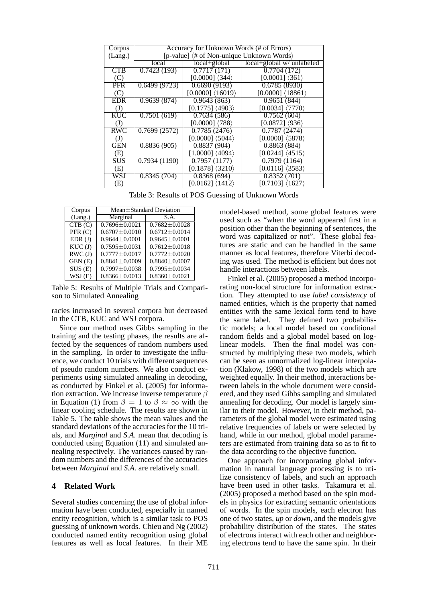| Corpus       | Accuracy for Unknown Words (# of Errors)                           |                                    |                                   |  |
|--------------|--------------------------------------------------------------------|------------------------------------|-----------------------------------|--|
| (Lang.)      | [p-value] $\langle \# \text{ of Non-unique Unknown Words} \rangle$ |                                    |                                   |  |
|              | local                                                              | local+global                       | local+global w/ unlabeled         |  |
| CTB          | 0.7423(193)                                                        | 0.7717(171)                        | 0.7704(172)                       |  |
| (C)          |                                                                    | $[0.0000]$ $\langle 344 \rangle$   | $[0.0001]$ $\langle 361 \rangle$  |  |
| <b>PFR</b>   | $\overline{0.6499(9723)}$                                          | 0.6690(9193)                       | 0.6785(8930)                      |  |
| (C)          |                                                                    | $[0.0000]$ $\langle 16019 \rangle$ | $[0.0000]$ $(18861)$              |  |
| <b>EDR</b>   | 0.9639(874)                                                        | 0.9643(863)                        | 0.9651(844)                       |  |
| $\mathrm{J}$ |                                                                    | $[0.1775]$ $\langle 4903 \rangle$  | $[0.0034]$ $\langle 7770 \rangle$ |  |
| <b>KUC</b>   | 0.7501(619)                                                        | 0.7634(586)                        | 0.7562(604)                       |  |
| $\mathrm{J}$ |                                                                    | $[0.0000]$ $\langle 788 \rangle$   | $[0.0872]$ $\langle 936 \rangle$  |  |
| <b>RWC</b>   | 0.7699(2572)                                                       | 0.7785(2476)                       | 0.7787(2474)                      |  |
| (J)          |                                                                    | $[0.0000]$ $(5044)$                | $[0.0000]$ $(5878)$               |  |
| <b>GEN</b>   | 0.8836(905)                                                        | 0.8837(904)                        | 0.8863(884)                       |  |
| (E)          |                                                                    | $[1.0000]$ $\langle 4094 \rangle$  | $[0.0244]$ $\langle 4515 \rangle$ |  |
| <b>SUS</b>   | 0.7934(1190)                                                       | 0.7957(1177)                       | $\overline{0.7979(1164)}$         |  |
| (E)          |                                                                    | $[0.1878]$ $(3210)$                | $[0.0116]$ $\langle 3583 \rangle$ |  |
| WSJ          | 0.8345(704)                                                        | 0.8368(694)                        | 0.8352(701)                       |  |
| (E)          |                                                                    | $[0.0162]$ $\langle 1412 \rangle$  | $[0.7103]$ $\langle 1627 \rangle$ |  |

Table 3: Results of POS Guessing of Unknown Words

| Corpus  | $Mean \pm Standard$ Deviation |                     |  |
|---------|-------------------------------|---------------------|--|
| (Lang.) | Marginal                      | S.A.                |  |
| CTB(C)  | $0.7696 \pm 0.0021$           | $0.7682 \pm 0.0028$ |  |
| PFR(C)  | $0.6707 + 0.0010$             | $0.6712 \pm 0.0014$ |  |
| EDR(J)  | $0.9644 + 0.0001$             | $0.9645 \pm 0.0001$ |  |
| KUC(J)  | $0.7595 \pm 0.0031$           | $0.7612 \pm 0.0018$ |  |
| RWC(J)  | $0.7777 \pm 0.0017$           | $0.7772 \pm 0.0020$ |  |
| GEN(E)  | $0.8841 \pm 0.0009$           | $0.8840 \pm 0.0007$ |  |
| SUS(E)  | $0.7997 \pm 0.0038$           | $0.7995 \pm 0.0034$ |  |
| WSJ(E)  | $0.8366 \pm 0.0013$           | $0.8360 \pm 0.0021$ |  |

Table 5: Results of Multiple Trials and Comparison to Simulated Annealing

racies increased in several corpora but decreased in the CTB, KUC and WSJ corpora.

Since our method uses Gibbs sampling in the training and the testing phases, the results are affected by the sequences of random numbers used in the sampling. In order to investigate the influence, we conduct 10 trials with different sequences of pseudo random numbers. We also conduct experiments using simulated annealing in decoding, as conducted by Finkel et al. (2005) for information extraction. We increase inverse temperature  $\beta$ in Equation (1) from  $\beta = 1$  to  $\beta \approx \infty$  with the linear cooling schedule. The results are shown in Table 5. The table shows the mean values and the standard deviations of the accuracies for the 10 trials, and *Marginal* and *S.A.* mean that decoding is conducted using Equation (11) and simulated annealing respectively. The variances caused by random numbers and the differences of the accuracies between *Marginal* and *S.A.* are relatively small.

### **4 Related Work**

Several studies concerning the use of global information have been conducted, especially in named entity recognition, which is a similar task to POS guessing of unknown words. Chieu and Ng (2002) conducted named entity recognition using global features as well as local features. In their ME model-based method, some global features were used such as "when the word appeared first in a position other than the beginning of sentences, the word was capitalized or not". These global features are static and can be handled in the same manner as local features, therefore Viterbi decoding was used. The method is efficient but does not handle interactions between labels.

Finkel et al. (2005) proposed a method incorporating non-local structure for information extraction. They attempted to use *label consistency* of named entities, which is the property that named entities with the same lexical form tend to have the same label. They defined two probabilistic models; a local model based on conditional random fields and a global model based on loglinear models. Then the final model was constructed by multiplying these two models, which can be seen as unnormalized log-linear interpolation (Klakow, 1998) of the two models which are weighted equally. In their method, interactions between labels in the whole document were considered, and they used Gibbs sampling and simulated annealing for decoding. Our model is largely similar to their model. However, in their method, parameters of the global model were estimated using relative frequencies of labels or were selected by hand, while in our method, global model parameters are estimated from training data so as to fit to the data according to the objective function.

One approach for incorporating global information in natural language processing is to utilize consistency of labels, and such an approach have been used in other tasks. Takamura et al. (2005) proposed a method based on the spin models in physics for extracting semantic orientations of words. In the spin models, each electron has one of two states, *up* or *down*, and the models give probability distribution of the states. The states of electrons interact with each other and neighboring electrons tend to have the same spin. In their